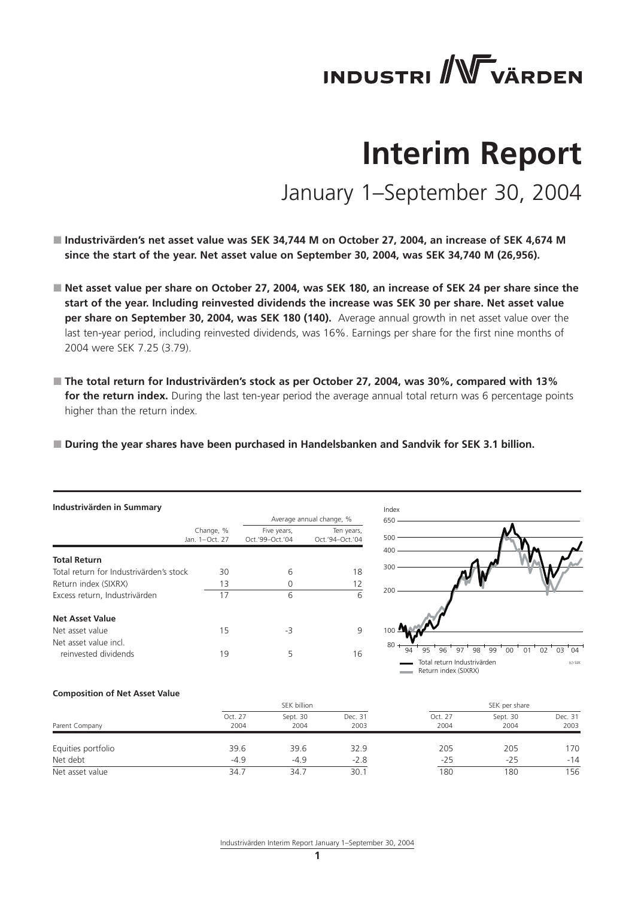# **INDUSTRI / WWW VÄRDEN**

# **Interim Report**

January 1–September 30, 2004

- Industrivärden's net asset value was SEK 34,744 M on October 27, 2004, an increase of SEK 4,674 M **since the start of the year. Net asset value on September 30, 2004, was SEK 34,740 M (26,956).**
- Net asset value per share on October 27, 2004, was SEK 180, an increase of SEK 24 per share since the **start of the year. Including reinvested dividends the increase was SEK 30 per share. Net asset value per share on September 30, 2004, was SEK 180 (140).** Average annual growth in net asset value over the last ten-year period, including reinvested dividends, was 16%. Earnings per share for the first nine months of 2004 were SEK 7.25 (3.79).
- The total return for Industrivärden's stock as per October 27, 2004, was 30%, compared with 13% for the return index. During the last ten-year period the average annual total return was 6 percentage points higher than the return index.

■ During the year shares have been purchased in Handelsbanken and Sandvik for SEK 3.1 billion.

| Industrivärden in Summary               |                             |                                |                               |  |  |  |  |
|-----------------------------------------|-----------------------------|--------------------------------|-------------------------------|--|--|--|--|
|                                         |                             |                                | Average annual change, %      |  |  |  |  |
|                                         | Change, %<br>Jan. 1-Oct. 27 | Five years,<br>Oct.'99-Oct.'04 | Ten years,<br>Oct.'94-Oct.'04 |  |  |  |  |
| <b>Total Return</b>                     |                             |                                |                               |  |  |  |  |
| Total return for Industrivärden's stock | 30                          | 6                              | 18                            |  |  |  |  |
| Return index (SIXRX)                    | 13                          | O                              | 12                            |  |  |  |  |
| Excess return, Industrivärden           | 17                          | 6                              | 6                             |  |  |  |  |
| Net Asset Value                         |                             |                                |                               |  |  |  |  |
| Net asset value                         | 15                          | -3                             | 9                             |  |  |  |  |
| Net asset value incl                    |                             |                                |                               |  |  |  |  |
| reinvested dividends                    | 19                          | 5                              | 16                            |  |  |  |  |



#### Return index (SIXRX)

#### **Composition of Net Asset Value**

|                    |                 | SEK billion      |                 |                 | SEK per share    |                 |  |
|--------------------|-----------------|------------------|-----------------|-----------------|------------------|-----------------|--|
| Parent Company     | Oct. 27<br>2004 | Sept. 30<br>2004 | Dec. 31<br>2003 | Oct. 27<br>2004 | Sept. 30<br>2004 | Dec. 31<br>2003 |  |
| Equities portfolio | 39.6            | 39.6             | 32.9            | 205             | 205              | 170             |  |
| Net debt           | $-4.9$          | $-4.9$           | $-2.8$          | $-25$           | $-25$            | $-14$           |  |
| Net asset value    | 34.1            | 34.7             | 30.1            | 180             | 180              | 156             |  |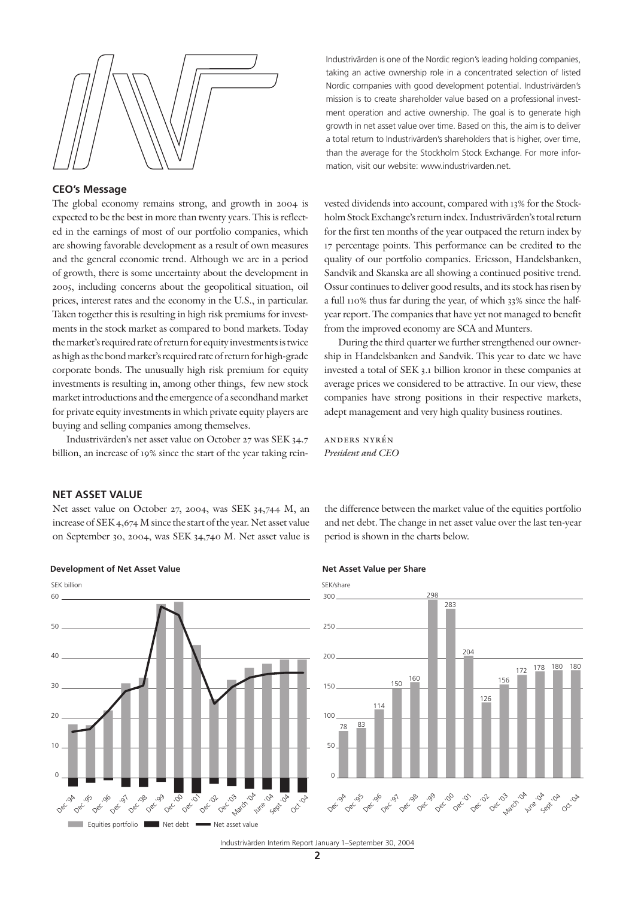

#### **CEO's Message**

The global economy remains strong, and growth in 2004 is expected to be the best in more than twenty years. This is reflected in the earnings of most of our portfolio companies, which are showing favorable development as a result of own measures and the general economic trend. Although we are in a period of growth, there is some uncertainty about the development in 2005, including concerns about the geopolitical situation, oil prices, interest rates and the economy in the U.S., in particular. Taken together this is resulting in high risk premiums for investments in the stock market as compared to bond markets. Today the market's required rate of return for equity investments is twice as high as the bond market's required rate of return for high-grade corporate bonds. The unusually high risk premium for equity investments is resulting in, among other things, few new stock market introductions and the emergence of a secondhand market for private equity investments in which private equity players are buying and selling companies among themselves.

Industrivärden's net asset value on October 27 was SEK 34.7 billion, an increase of 19% since the start of the year taking reinIndustrivärden is one of the Nordic region's leading holding companies, taking an active ownership role in a concentrated selection of listed Nordic companies with good development potential. Industrivärden's mission is to create shareholder value based on a professional investment operation and active ownership. The goal is to generate high growth in net asset value over time. Based on this, the aim is to deliver a total return to Industrivärden's shareholders that is higher, over time, than the average for the Stockholm Stock Exchange. For more information, visit our website: www.industrivarden.net.

vested dividends into account, compared with 13% for the Stockholm Stock Exchange's return index. Industrivärden's total return for the first ten months of the year outpaced the return index by 17 percentage points. This performance can be credited to the quality of our portfolio companies. Ericsson, Handelsbanken, Sandvik and Skanska are all showing a continued positive trend. Ossur continues to deliver good results, and its stock has risen by a full 110% thus far during the year, of which 33% since the halfyear report. The companies that have yet not managed to benefit from the improved economy are SCA and Munters.

During the third quarter we further strengthened our ownership in Handelsbanken and Sandvik. This year to date we have invested a total of SEK 3.1 billion kronor in these companies at average prices we considered to be attractive. In our view, these companies have strong positions in their respective markets, adept management and very high quality business routines.

anders nyrén *President and CEO*

#### **NET ASSET VALUE**

Net asset value on October 27, 2004, was SEK 34,744 M, an increase of SEK 4,674 M since the start of the year. Net asset value on September 30, 2004, was SEK 34,740 M. Net asset value is







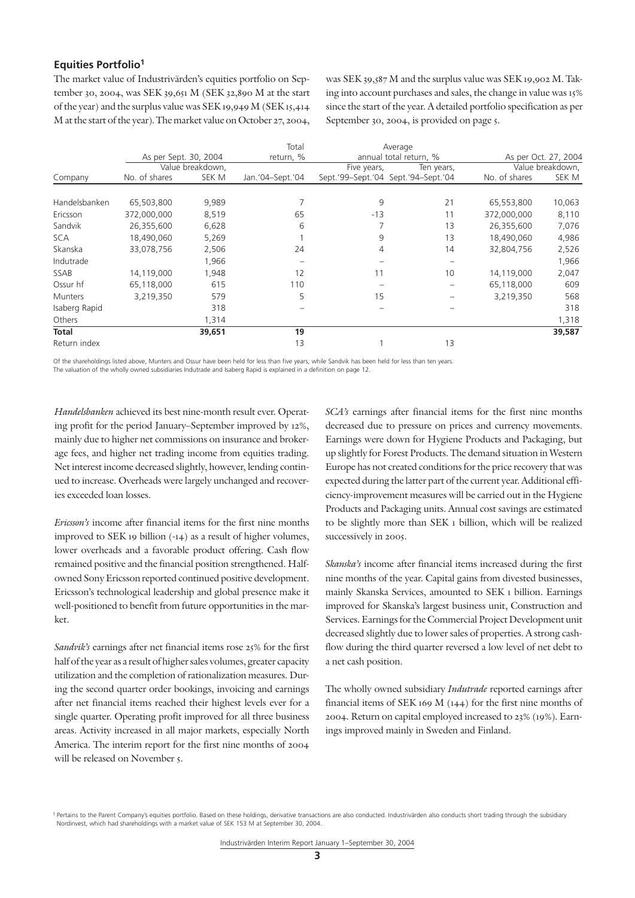# **Equities Portfolio1**

The market value of Industrivärden's equities portfolio on September 30, 2004, was SEK 39,651 M (SEK 32,890 M at the start of the year) and the surplus value was SEK 19,949 M (SEK 15,414 M at the start of the year). The market value on October 27, 2004, was SEK 39,587 M and the surplus value was SEK 19,902 M. Taking into account purchases and sales, the change in value was 15% since the start of the year. A detailed portfolio specification as per September 30, 2004, is provided on page 5.

|                |                       |                  | Total            |             | Average                             |               |                      |
|----------------|-----------------------|------------------|------------------|-------------|-------------------------------------|---------------|----------------------|
|                | As per Sept. 30, 2004 |                  | return, %        |             | annual total return, %              |               | As per Oct. 27, 2004 |
|                |                       | Value breakdown, |                  | Five years, | Ten years,                          |               | Value breakdown,     |
| Company        | No. of shares         | SEK M            | Jan.'04-Sept.'04 |             | Sept.'99-Sept.'04 Sept.'94-Sept.'04 | No. of shares | SEK M                |
|                |                       |                  |                  |             |                                     |               |                      |
| Handelsbanken  | 65,503,800            | 9,989            |                  | 9           | 21                                  | 65,553,800    | 10,063               |
| Ericsson       | 372,000,000           | 8,519            | 65               | $-13$       | 11                                  | 372,000,000   | 8,110                |
| Sandvik        | 26,355,600            | 6,628            | 6                |             | 13                                  | 26,355,600    | 7,076                |
| <b>SCA</b>     | 18,490,060            | 5,269            |                  | 9           | 13                                  | 18,490,060    | 4,986                |
| Skanska        | 33,078,756            | 2,506            | 24               | 4           | 14                                  | 32,804,756    | 2,526                |
| Indutrade      |                       | 1,966            |                  |             |                                     |               | 1,966                |
| SSAB           | 14,119,000            | 1,948            | 12               | 11          | 10                                  | 14,119,000    | 2,047                |
| Ossur hf       | 65,118,000            | 615              | 110              |             |                                     | 65,118,000    | 609                  |
| <b>Munters</b> | 3,219,350             | 579              | 5                | 15          |                                     | 3,219,350     | 568                  |
| Isaberg Rapid  |                       | 318              |                  |             |                                     |               | 318                  |
| Others         |                       | 1,314            |                  |             |                                     |               | 1,318                |
| <b>Total</b>   |                       | 39,651           | 19               |             |                                     |               | 39,587               |
| Return index   |                       |                  | 13               |             | 13                                  |               |                      |

Of the shareholdings listed above, Munters and Ossur have been held for less than five years, while Sandvik has been held for less than ten years. The valuation of the wholly owned subsidiaries Indutrade and Isaberg Rapid is explained in a definition on page 12.

*Handelsbanken* achieved its best nine-month result ever. Operating profit for the period January–September improved by 12%, mainly due to higher net commissions on insurance and brokerage fees, and higher net trading income from equities trading. Net interest income decreased slightly, however, lending continued to increase. Overheads were largely unchanged and recoveries exceeded loan losses.

*Ericsson's* income after financial items for the first nine months improved to SEK 19 billion (-14) as a result of higher volumes, lower overheads and a favorable product offering. Cash flow remained positive and the financial position strengthened. Halfowned Sony Ericsson reported continued positive development. Ericsson's technological leadership and global presence make it well-positioned to benefit from future opportunities in the market.

*Sandvik's* earnings after net financial items rose 25% for the first half of the year as a result of higher sales volumes, greater capacity utilization and the completion of rationalization measures. During the second quarter order bookings, invoicing and earnings after net financial items reached their highest levels ever for a single quarter. Operating profit improved for all three business areas. Activity increased in all major markets, especially North America. The interim report for the first nine months of 2004 will be released on November 5.

*SCA's* earnings after financial items for the first nine months decreased due to pressure on prices and currency movements. Earnings were down for Hygiene Products and Packaging, but up slightly for Forest Products. The demand situation in Western Europe has not created conditions for the price recovery that was expected during the latter part of the current year. Additional efficiency-improvement measures will be carried out in the Hygiene Products and Packaging units. Annual cost savings are estimated to be slightly more than SEK 1 billion, which will be realized successively in 2005.

*Skanska's* income after financial items increased during the first nine months of the year. Capital gains from divested businesses, mainly Skanska Services, amounted to SEK 1 billion. Earnings improved for Skanska's largest business unit, Construction and Services. Earnings for the Commercial Project Development unit decreased slightly due to lower sales of properties. A strong cashflow during the third quarter reversed a low level of net debt to a net cash position.

The wholly owned subsidiary *Indutrade* reported earnings after financial items of SEK 169 M (144) for the first nine months of 2004. Return on capital employed increased to 23% (19%). Earnings improved mainly in Sweden and Finland.

<sup>&</sup>lt;sup>1</sup> Pertains to the Parent Company's equities portfolio. Based on these holdings, derivative transactions are also conducted. Industrivarden also conducts short trading through the subsidiary Nordinvest, which had shareholdings with a market value of SEK 153 M at September 30, 2004.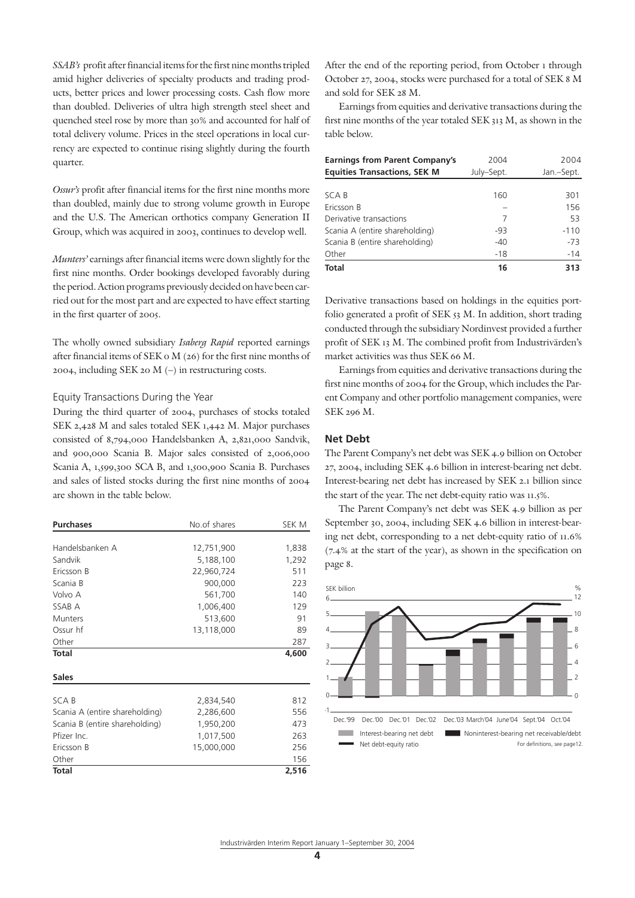*SSAB's* profit after financial items for the first nine months tripled amid higher deliveries of specialty products and trading products, better prices and lower processing costs. Cash flow more than doubled. Deliveries of ultra high strength steel sheet and quenched steel rose by more than 30% and accounted for half of total delivery volume. Prices in the steel operations in local currency are expected to continue rising slightly during the fourth quarter.

*Ossur's* profit after financial items for the first nine months more than doubled, mainly due to strong volume growth in Europe and the U.S. The American orthotics company Generation II Group, which was acquired in 2003, continues to develop well.

*Munters'* earnings after financial items were down slightly for the first nine months. Order bookings developed favorably during the period. Action programs previously decided on have been carried out for the most part and are expected to have effect starting in the first quarter of 2005.

The wholly owned subsidiary *Isaberg Rapid* reported earnings after financial items of SEK 0 M (26) for the first nine months of 2004, including SEK 20 M (–) in restructuring costs.

#### Equity Transactions During the Year

During the third quarter of 2004, purchases of stocks totaled SEK 2,428 M and sales totaled SEK 1,442 M. Major purchases consisted of 8,794,000 Handelsbanken A, 2,821,000 Sandvik, and 900,000 Scania B. Major sales consisted of 2,006,000 Scania A, 1,599,300 SCA B, and 1,500,900 Scania B. Purchases and sales of listed stocks during the first nine months of 2004 are shown in the table below.

| <b>Purchases</b>               | No.of shares | SEK M |
|--------------------------------|--------------|-------|
|                                |              |       |
| Handelsbanken A                | 12,751,900   | 1,838 |
| Sandvik                        | 5,188,100    | 1,292 |
| Ericsson B                     | 22,960,724   | 511   |
| Scania B                       | 900,000      | 223   |
| Volvo A                        | 561,700      | 140   |
| SSAB A                         | 1,006,400    | 129   |
| <b>Munters</b>                 | 513,600      | 91    |
| Ossur hf                       | 13,118,000   | 89    |
| Other                          |              | 287   |
| <b>Total</b>                   |              | 4,600 |
| <b>Sales</b>                   |              |       |
|                                |              |       |
| SCA B                          | 2,834,540    | 812   |
| Scania A (entire shareholding) | 2,286,600    | 556   |
| Scania B (entire shareholding) | 1,950,200    | 473   |
| Pfizer Inc.                    | 1,017,500    | 263   |
| Ericsson B                     | 15,000,000   | 256   |
| Other                          |              | 156   |
| <b>Total</b>                   |              | 2,516 |

After the end of the reporting period, from October 1 through October 27, 2004, stocks were purchased for a total of SEK 8 M and sold for SEK 28 M.

Earnings from equities and derivative transactions during the first nine months of the year totaled SEK 313 M, as shown in the table below.

| <b>Earnings from Parent Company's</b> | 2004       | 2004       |  |  |
|---------------------------------------|------------|------------|--|--|
| <b>Equities Transactions, SEK M</b>   | July-Sept. | Jan.-Sept. |  |  |
|                                       |            |            |  |  |
| SCA B                                 | 160        | 301        |  |  |
| Ericsson B                            |            | 156        |  |  |
| Derivative transactions               | 7          | 53         |  |  |
| Scania A (entire shareholding)        | -93        | $-110$     |  |  |
| Scania B (entire shareholding)        | $-40$      | $-73$      |  |  |
| Other                                 | $-18$      | $-14$      |  |  |
| <b>Total</b>                          | 16         | 313        |  |  |

Derivative transactions based on holdings in the equities portfolio generated a profit of SEK 53 M. In addition, short trading conducted through the subsidiary Nordinvest provided a further profit of SEK 13 M. The combined profit from Industrivärden's market activities was thus SEK 66 M.

Earnings from equities and derivative transactions during the first nine months of 2004 for the Group, which includes the Parent Company and other portfolio management companies, were SEK 296 M.

#### **Net Debt**

The Parent Company's net debt was SEK 4.9 billion on October 27, 2004, including SEK 4.6 billion in interest-bearing net debt. Interest-bearing net debt has increased by SEK 2.1 billion since the start of the year. The net debt-equity ratio was 11.5%.

The Parent Company's net debt was SEK 4.9 billion as per September 30, 2004, including SEK 4.6 billion in interest-bearing net debt, corresponding to a net debt-equity ratio of 11.6% (7.4% at the start of the year), as shown in the specification on page 8.

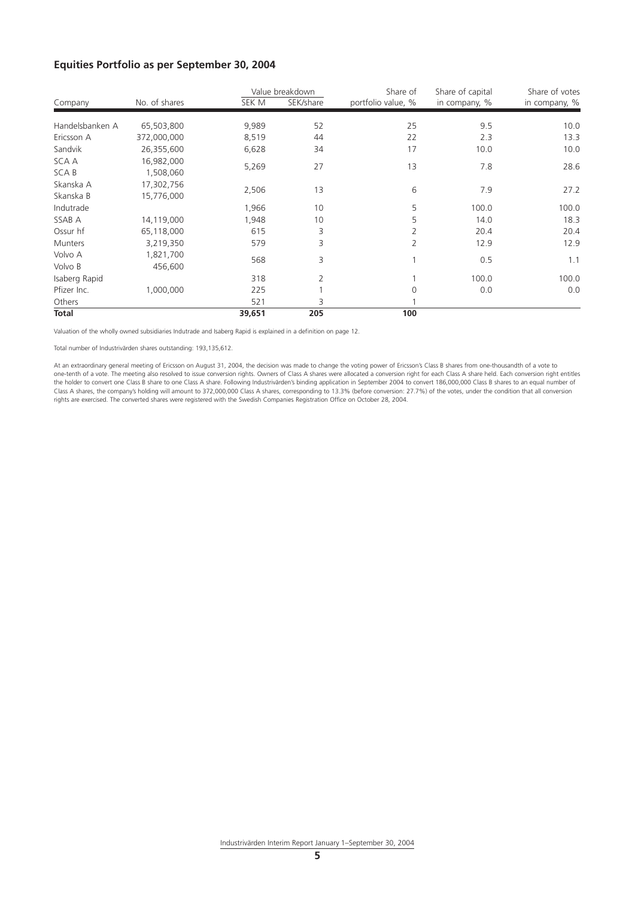# **Equities Portfolio as per September 30, 2004**

|                 |               |        | Value breakdown | Share of           | Share of capital | Share of votes |
|-----------------|---------------|--------|-----------------|--------------------|------------------|----------------|
| Company         | No. of shares | SEK M  | SEK/share       | portfolio value, % | in company, %    | in company, %  |
| Handelsbanken A | 65,503,800    | 9,989  | 52              | 25                 | 9.5              | 10.0           |
| Ericsson A      | 372,000,000   | 8,519  | 44              | 22                 | 2.3              | 13.3           |
| Sandvik         | 26,355,600    | 6,628  | 34              | 17                 | 10.0             | 10.0           |
| SCA A           | 16,982,000    |        |                 |                    |                  |                |
| SCA B           | 1,508,060     | 5,269  | 27              | 13                 | 7.8              | 28.6           |
| Skanska A       | 17,302,756    |        |                 |                    |                  |                |
| Skanska B       | 15,776,000    | 2,506  | 13              | 6                  | 7.9              | 27.2           |
| Indutrade       |               | 1,966  | 10              | 5                  | 100.0            | 100.0          |
| SSAB A          | 14,119,000    | 1,948  | 10              | 5                  | 14.0             | 18.3           |
| Ossur hf        | 65,118,000    | 615    | 3               | 2                  | 20.4             | 20.4           |
| <b>Munters</b>  | 3,219,350     | 579    | 3               | 2                  | 12.9             | 12.9           |
| Volvo A         | 1,821,700     |        |                 |                    |                  |                |
| Volvo B         | 456,600       | 568    | 3               |                    | 0.5              | 1.1            |
| Isaberg Rapid   |               | 318    | 2               |                    | 100.0            | 100.0          |
| Pfizer Inc.     | 1,000,000     | 225    |                 | $\Omega$           | 0.0              | 0.0            |
| Others          |               | 521    | 3               |                    |                  |                |
| <b>Total</b>    |               | 39,651 | 205             | 100                |                  |                |

Valuation of the wholly owned subsidiaries Indutrade and Isaberg Rapid is explained in a definition on page 12.

Total number of Industrivärden shares outstanding: 193,135,612.

At an extraordinary general meeting of Ericsson on August 31, 2004, the decision was made to change the voting power of Ericsson's Class B shares from one-thousandth of a vote to one-tenth of a vote. The meeting also resolved to issue conversion rights. Owners of Class A shares were allocated a conversion right for each Class A share held. Each conversion right entitles the holder to convert one Class B share to one Class A share. Following Industrivärden's binding application in September 2004 to convert 186,000,000 Class B shares to an equal number of Class A shares, the company's holding will amount to 372,000,000 Class A shares, corresponding to 13.3% (before conversion: 27.7%) of the votes, under the condition that all conversion rights are exercised. The converted shares were registered with the Swedish Companies Registration Office on October 28, 2004.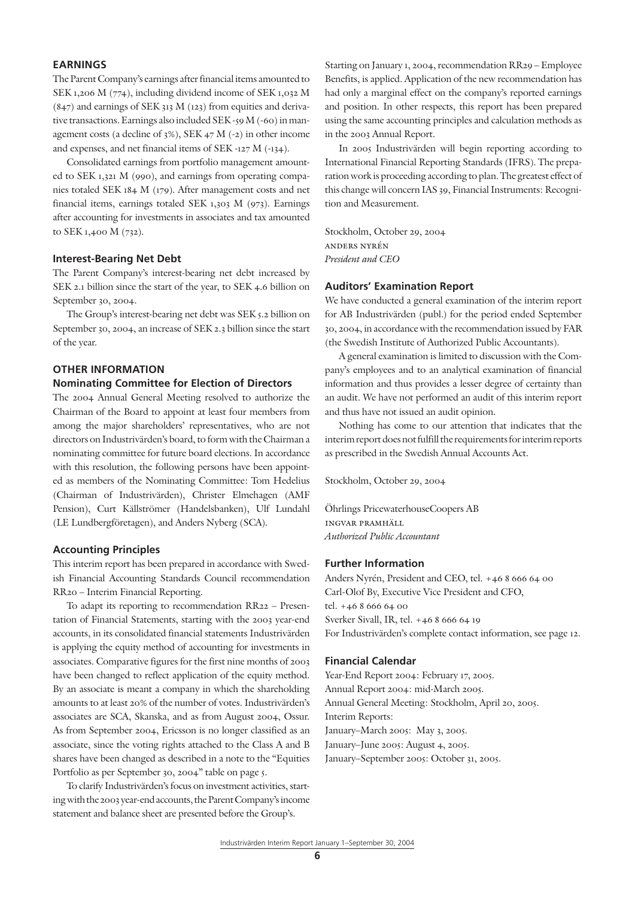# **EARNINGS**

The Parent Company's earnings after financial items amounted to SEK 1,206 M (774), including dividend income of SEK 1,032 M  $(847)$  and earnings of SEK 313 M  $(123)$  from equities and derivative transactions. Earnings also included SEK -59 M (-60) in management costs (a decline of 3%), SEK 47 M (-2) in other income and expenses, and net financial items of SEK -127 M (-134).

Consolidated earnings from portfolio management amounted to SEK 1,321 M (990), and earnings from operating companies totaled SEK 184 M (179). After management costs and net financial items, earnings totaled SEK 1,303 M (973). Earnings after accounting for investments in associates and tax amounted to SEK 1,400 M (732).

#### **Interest-Bearing Net Debt**

The Parent Company's interest-bearing net debt increased by SEK 2.1 billion since the start of the year, to SEK 4.6 billion on September 30, 2004.

The Group's interest-bearing net debt was SEK 5.2 billion on September 30, 2004, an increase of SEK 2.3 billion since the start of the year.

# **OTHER INFORMATION Nominating Committee for Election of Directors**

The 2004 Annual General Meeting resolved to authorize the Chairman of the Board to appoint at least four members from among the major shareholders' representatives, who are not directors on Industrivärden's board, to form with the Chairman a nominating committee for future board elections. In accordance with this resolution, the following persons have been appointed as members of the Nominating Committee: Tom Hedelius (Chairman of Industrivärden), Christer Elmehagen (AMF Pension), Curt Källströmer (Handelsbanken), Ulf Lundahl (LE Lundbergföretagen), and Anders Nyberg (SCA).

#### **Accounting Principles**

This interim report has been prepared in accordance with Swedish Financial Accounting Standards Council recommendation RR20 – Interim Financial Reporting.

To adapt its reporting to recommendation RR22 – Presentation of Financial Statements, starting with the 2003 year-end accounts, in its consolidated financial statements Industrivärden is applying the equity method of accounting for investments in associates. Comparative figures for the first nine months of 2003 have been changed to reflect application of the equity method. By an associate is meant a company in which the shareholding amounts to at least 20% of the number of votes. Industrivärden's associates are SCA, Skanska, and as from August 2004, Ossur. As from September 2004, Ericsson is no longer classified as an associate, since the voting rights attached to the Class A and B shares have been changed as described in a note to the "Equities Portfolio as per September 30, 2004" table on page 5.

To clarify Industrivärden's focus on investment activities, starting with the 2003 year-end accounts, the Parent Company's income statement and balance sheet are presented before the Group's.

Starting on January 1, 2004, recommendation RR29 – Employee Benefits, is applied. Application of the new recommendation has had only a marginal effect on the company's reported earnings and position. In other respects, this report has been prepared using the same accounting principles and calculation methods as in the 2003 Annual Report.

In 2005 Industrivärden will begin reporting according to International Financial Reporting Standards (IFRS). The preparation work is proceeding according to plan. The greatest effect of this change will concern IAS 39, Financial Instruments: Recognition and Measurement.

Stockholm, October 29, 2004 anders nyrén *President and CEO*

#### **Auditors' Examination Report**

We have conducted a general examination of the interim report for AB Industrivärden (publ.) for the period ended September 30, 2004, in accordance with the recommendation issued by FAR (the Swedish Institute of Authorized Public Accountants).

A general examination is limited to discussion with the Company's employees and to an analytical examination of financial information and thus provides a lesser degree of certainty than an audit. We have not performed an audit of this interim report and thus have not issued an audit opinion.

Nothing has come to our attention that indicates that the interim report does not fulfill the requirements for interim reports as prescribed in the Swedish Annual Accounts Act.

Stockholm, October 29, 2004

Öhrlings PricewaterhouseCoopers AB ingvar pramhäll *Authorized Public Accountant*

### **Further Information**

Anders Nyrén, President and CEO, tel. +46 8 666 64 00 Carl-Olof By, Executive Vice President and CFO, tel. +46 8 666 64 00 Sverker Sivall, IR, tel. +46 8 666 64 19 For Industrivärden's complete contact information, see page 12.

#### **Financial Calendar**

Year-End Report 2004: February 17, 2005. Annual Report 2004: mid-March 2005. Annual General Meeting: Stockholm, April 20, 2005. Interim Reports: January–March 2005: May 3, 2005. January–June 2005: August 4, 2005. January–September 2005: October 31, 2005.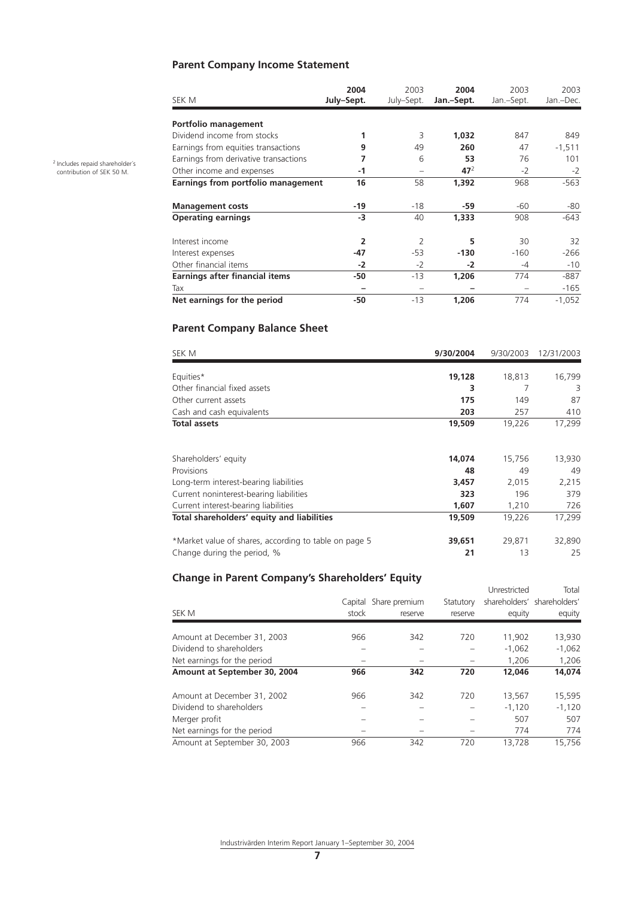# **Parent Company Income Statement**

| SEK M                                 | 2004<br>July-Sept. | 2003<br>July-Sept. | 2004<br>Jan.-Sept. | 2003<br>Jan.-Sept. | 2003<br>Jan.-Dec. |
|---------------------------------------|--------------------|--------------------|--------------------|--------------------|-------------------|
| Portfolio management                  |                    |                    |                    |                    |                   |
| Dividend income from stocks           |                    | 3                  | 1,032              | 847                | 849               |
| Earnings from equities transactions   | 9                  | 49                 | 260                | 47                 | $-1,511$          |
| Earnings from derivative transactions | 7                  | 6                  | 53                 | 76                 | 101               |
| Other income and expenses             | -1                 |                    | 47 <sup>2</sup>    | $-2$               | $-2$              |
| Earnings from portfolio management    | 16                 | 58                 | 1,392              | 968                | $-563$            |
| <b>Management costs</b>               | $-19$              | -18                | -59                | -60                | -80               |
| <b>Operating earnings</b>             | $-3$               | 40                 | 1,333              | 908                | $-643$            |
| Interest income                       | $\overline{2}$     | $\mathcal{P}$      | 5                  | 30                 | 32                |
| Interest expenses                     | $-47$              | $-53$              | $-130$             | $-160$             | $-266$            |
| Other financial items                 | $-2$               | $-2$               | $-2$               | -4                 | -10               |
| Earnings after financial items        | -50                | $-13$              | 1,206              | 774                | $-887$            |
| Tax                                   |                    |                    |                    |                    | -165              |
| Net earnings for the period           | -50                | $-13$              | 1,206              | 774                | $-1,052$          |

# **Parent Company Balance Sheet**

| SEK M                                                 | 9/30/2004 | 9/30/2003 | 12/31/2003 |
|-------------------------------------------------------|-----------|-----------|------------|
| Equities*                                             | 19,128    | 18,813    | 16,799     |
| Other financial fixed assets                          | 3         |           | 3          |
| Other current assets                                  | 175       | 149       | 87         |
| Cash and cash equivalents                             | 203       | 257       | 410        |
| <b>Total assets</b>                                   | 19,509    | 19,226    | 17,299     |
|                                                       |           |           |            |
| Shareholders' equity                                  | 14,074    | 15,756    | 13,930     |
| Provisions                                            | 48        | 49        | 49         |
| Long-term interest-bearing liabilities                | 3,457     | 2,015     | 2,215      |
| Current noninterest-bearing liabilities               | 323       | 196       | 379        |
| Current interest-bearing liabilities                  | 1,607     | 1,210     | 726        |
| Total shareholders' equity and liabilities            | 19,509    | 19,226    | 17,299     |
| *Market value of shares, according to table on page 5 | 39,651    | 29,871    | 32,890     |
| Change during the period, %                           | 21        | 13        | 25         |

# **Change in Parent Company's Shareholders' Equity**

| SEK M                        | Capital<br>stock | Share premium<br>reserve | Statutory<br>reserve | Unrestricted<br>equity | Total<br>shareholders' shareholders'<br>equity |
|------------------------------|------------------|--------------------------|----------------------|------------------------|------------------------------------------------|
| Amount at December 31, 2003  | 966              | 342                      | 720                  | 11.902                 | 13,930                                         |
| Dividend to shareholders     |                  |                          |                      | $-1,062$               | $-1.062$                                       |
| Net earnings for the period  |                  |                          |                      | 1.206                  | 1,206                                          |
| Amount at September 30, 2004 | 966              | 342                      | 720                  | 12,046                 | 14.074                                         |
| Amount at December 31, 2002  | 966              | 342                      | 720                  | 13,567                 | 15,595                                         |
| Dividend to shareholders     |                  |                          |                      | $-1,120$               | $-1.120$                                       |
| Merger profit                |                  |                          |                      | 507                    | 507                                            |
| Net earnings for the period  |                  |                          |                      | 774                    | 774                                            |
| Amount at September 30, 2003 | 966              | 342                      | 720                  | 13.728                 | 15.756                                         |

2 Includes repaid shareholder´s contribution of SEK 50 M.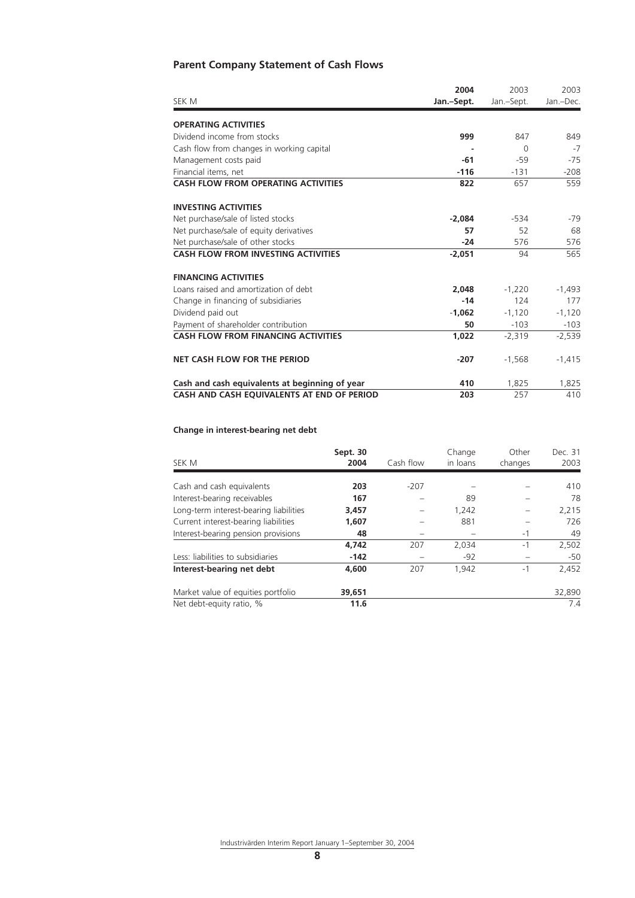# **Parent Company Statement of Cash Flows**

|                                                | 2004       | 2003       | 2003      |
|------------------------------------------------|------------|------------|-----------|
| SEK M                                          | Jan.-Sept. | Jan.-Sept. | Jan.-Dec. |
| <b>OPERATING ACTIVITIES</b>                    |            |            |           |
| Dividend income from stocks                    | 999        | 847        | 849       |
| Cash flow from changes in working capital      |            | $\Omega$   | $-7$      |
| Management costs paid                          | -61        | $-59$      | $-75$     |
| Financial items, net                           | $-116$     | $-131$     | $-208$    |
| <b>CASH FLOW FROM OPERATING ACTIVITIES</b>     | 822        | 657        | 559       |
| <b>INVESTING ACTIVITIES</b>                    |            |            |           |
| Net purchase/sale of listed stocks             | $-2.084$   | $-534$     | -79       |
| Net purchase/sale of equity derivatives        | 57         | 52         | 68        |
| Net purchase/sale of other stocks              | $-24$      | 576        | 576       |
| <b>CASH FLOW FROM INVESTING ACTIVITIES</b>     | $-2,051$   | 94         | 565       |
| <b>FINANCING ACTIVITIES</b>                    |            |            |           |
| Loans raised and amortization of debt          | 2.048      | $-1,220$   | $-1,493$  |
| Change in financing of subsidiaries            | $-14$      | 124        | 177       |
| Dividend paid out                              | $-1.062$   | $-1,120$   | $-1,120$  |
| Payment of shareholder contribution            | 50         | $-103$     | $-103$    |
| <b>CASH FLOW FROM FINANCING ACTIVITIES</b>     | 1,022      | $-2,319$   | $-2,539$  |
| <b>NET CASH FLOW FOR THE PERIOD</b>            | $-207$     | $-1,568$   | $-1,415$  |
| Cash and cash equivalents at beginning of year | 410        | 1,825      | 1,825     |
| CASH AND CASH EQUIVALENTS AT END OF PERIOD     | 203        | 257        | 410       |

# **Change in interest-bearing net debt**

| SEK M                                  | Sept. 30<br>2004 | Cash flow | Change<br>in loans | Other<br>changes | Dec. 31<br>2003 |
|----------------------------------------|------------------|-----------|--------------------|------------------|-----------------|
|                                        |                  |           |                    |                  |                 |
| Cash and cash equivalents              | 203              | $-207$    |                    |                  | 410             |
| Interest-bearing receivables           | 167              |           | 89                 |                  | 78              |
| Long-term interest-bearing liabilities | 3,457            |           | 1,242              |                  | 2,215           |
| Current interest-bearing liabilities   | 1,607            |           | 881                |                  | 726             |
| Interest-bearing pension provisions    | 48               |           |                    | $-1$             | 49              |
|                                        | 4,742            | 207       | 2,034              | $-1$             | 2,502           |
| Less: liabilities to subsidiaries      | $-142$           |           | $-92$              |                  | $-50$           |
| Interest-bearing net debt              | 4,600            | 207       | 1.942              | $-1$             | 2,452           |
| Market value of equities portfolio     | 39,651           |           |                    |                  | 32,890          |
| Net debt-equity ratio, %               | 11.6             |           |                    |                  | 7.4             |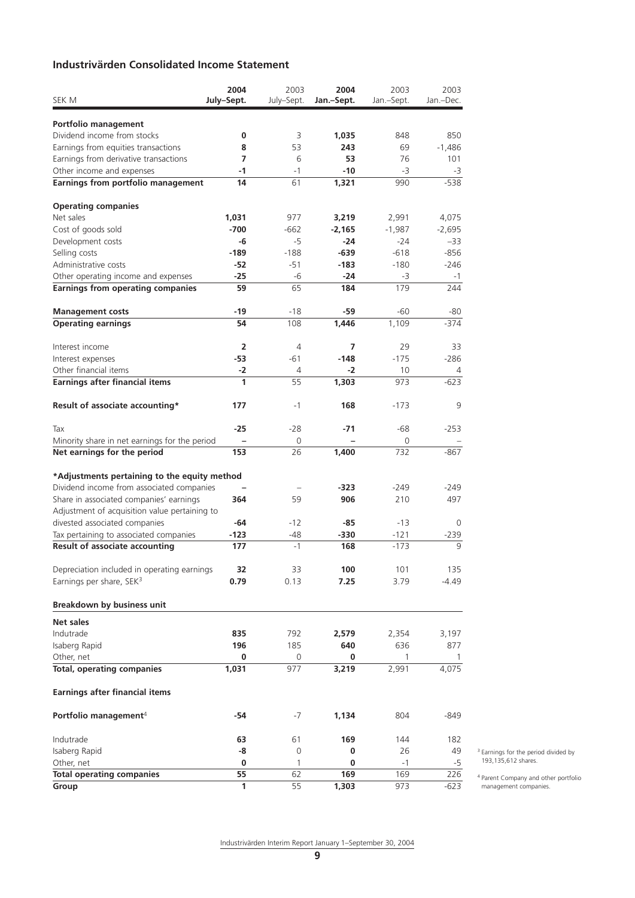# **Industrivärden Consolidated Income Statement**

|                                                     | 2004           | 2003       | 2004       | 2003         | 2003        |
|-----------------------------------------------------|----------------|------------|------------|--------------|-------------|
| SEK M                                               | July-Sept.     | July-Sept. | Jan.-Sept. | Jan.-Sept.   | Jan.-Dec.   |
|                                                     |                |            |            |              |             |
| Portfolio management<br>Dividend income from stocks | 0              | 3          | 1,035      | 848          | 850         |
| Earnings from equities transactions                 | 8              | 53         | 243        | 69           | $-1,486$    |
| Earnings from derivative transactions               | 7              | 6          | 53         | 76           | 101         |
| Other income and expenses                           | $-1$           | $-1$       | $-10$      | -3           | -3          |
| Earnings from portfolio management                  | 14             | 61         | 1,321      | 990          | $-538$      |
|                                                     |                |            |            |              |             |
| <b>Operating companies</b>                          |                |            |            |              |             |
| Net sales                                           | 1,031          | 977        | 3,219      | 2,991        | 4,075       |
| Cost of goods sold                                  | $-700$         | $-662$     | $-2,165$   | $-1,987$     | $-2,695$    |
| Development costs                                   | -6             | -5         | $-24$      | $-24$        | $-33$       |
| Selling costs                                       | $-189$         | $-188$     | -639       | $-618$       | -856        |
| Administrative costs                                | -52            | $-51$      | $-183$     | $-180$       | $-246$      |
| Other operating income and expenses                 | $-25$          | -6         | $-24$      | -3           | $-1$        |
| <b>Earnings from operating companies</b>            | 59             | 65         | 184        | 179          | 244         |
| <b>Management costs</b>                             | -19            | -18        | -59        | $-60$        | -80         |
| <b>Operating earnings</b>                           | 54             | 108        | 1,446      | 1,109        | $-374$      |
|                                                     |                |            |            |              |             |
| Interest income                                     | $\overline{2}$ | 4          | 7          | 29           | 33          |
| Interest expenses                                   | -53            | $-61$      | $-148$     | $-175$       | $-286$      |
| Other financial items                               | $-2$           | 4          | $-2$       | 10           | 4           |
| <b>Earnings after financial items</b>               | 1              | 55         | 1,303      | 973          | $-623$      |
|                                                     | 177            | $-1$       | 168        | $-173$       | 9           |
| Result of associate accounting*                     |                |            |            |              |             |
| Tax                                                 | $-25$          | -28        | $-71$      | $-68$        | $-253$      |
| Minority share in net earnings for the period       |                | 0          |            | 0            |             |
| Net earnings for the period                         | 153            | 26         | 1,400      | 732          | $-867$      |
|                                                     |                |            |            |              |             |
| *Adjustments pertaining to the equity method        |                |            |            |              |             |
| Dividend income from associated companies           |                |            | $-323$     | $-249$       | -249        |
| Share in associated companies' earnings             | 364            | 59         | 906        | 210          | 497         |
| Adjustment of acquisition value pertaining to       |                |            |            |              |             |
| divested associated companies                       | -64            | $-12$      | -85        | $-13$        | $\Omega$    |
| Tax pertaining to associated companies              | $-123$         | -48        | $-330$     | $-121$       | $-239$<br>9 |
| <b>Result of associate accounting</b>               | 177            | $-1$       | 168        | $-173$       |             |
| Depreciation included in operating earnings         | 32             | 33         | 100        | 101          | 135         |
| Earnings per share, SEK <sup>3</sup>                | 0.79           | 0.13       | 7.25       | 3.79         | -4.49       |
|                                                     |                |            |            |              |             |
| Breakdown by business unit                          |                |            |            |              |             |
| Net sales                                           |                |            |            |              |             |
| Indutrade                                           | 835            | 792        | 2,579      | 2,354        | 3,197       |
| Isaberg Rapid                                       | 196            | 185        | 640        | 636          | 877         |
| Other, net                                          | 0              | 0          | 0          | $\mathbf{1}$ | -1          |
| <b>Total, operating companies</b>                   | 1,031          | 977        | 3,219      | 2,991        | 4,075       |
| <b>Earnings after financial items</b>               |                |            |            |              |             |
| Portfolio management <sup>4</sup>                   | -54            | $-7$       | 1,134      | 804          | -849        |
|                                                     |                |            |            |              |             |
| Indutrade                                           | 63             | 61         | 169        | 144          | 182         |
| Isaberg Rapid                                       | -8             | 0          | 0          | 26           | 49          |
| Other, net                                          | 0              | 1          | 0          | -1           | $-5$        |
| <b>Total operating companies</b>                    | 55             | 62         | 169        | 169          | 226         |
| Group                                               | 1              | 55         | 1,303      | 973          | $-623$      |

3 Earnings for the period divided by 193,135,612 shares.

4 Parent Company and other portfolio management companies.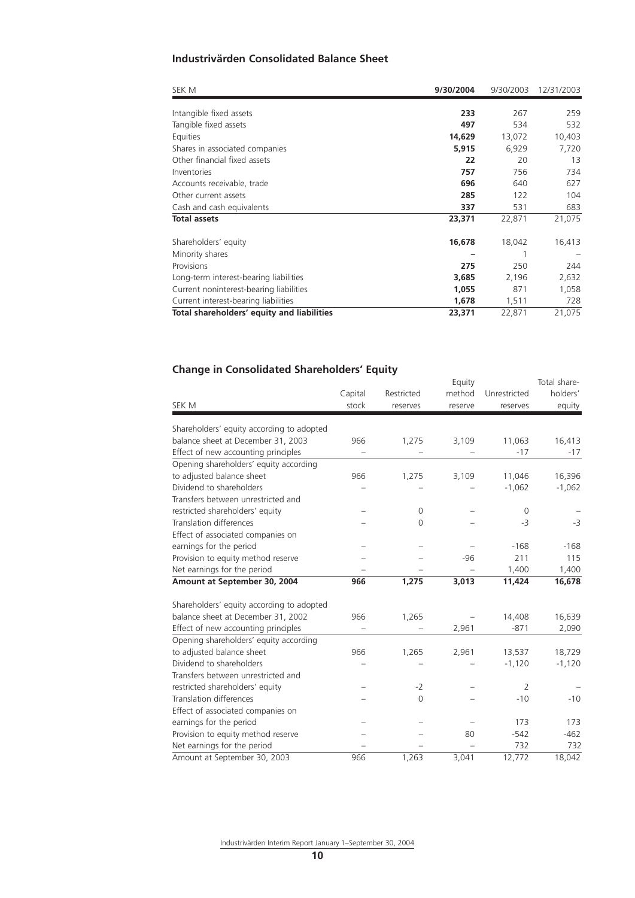# **Industrivärden Consolidated Balance Sheet**

| SEK M                                      | 9/30/2004 | 9/30/2003 | 12/31/2003 |
|--------------------------------------------|-----------|-----------|------------|
|                                            |           |           |            |
| Intangible fixed assets                    | 233       | 267       | 259        |
| Tangible fixed assets                      | 497       | 534       | 532        |
| Equities                                   | 14,629    | 13,072    | 10,403     |
| Shares in associated companies             | 5,915     | 6,929     | 7,720      |
| Other financial fixed assets               | 22        | 20        | 13         |
| Inventories                                | 757       | 756       | 734        |
| Accounts receivable, trade                 | 696       | 640       | 627        |
| Other current assets                       | 285       | 122       | 104        |
| Cash and cash equivalents                  | 337       | 531       | 683        |
| <b>Total assets</b>                        | 23,371    | 22,871    | 21,075     |
| Shareholders' equity                       | 16,678    | 18,042    | 16,413     |
| Minority shares                            |           |           |            |
| Provisions                                 | 275       | 250       | 244        |
| Long-term interest-bearing liabilities     | 3,685     | 2,196     | 2,632      |
| Current noninterest-bearing liabilities    | 1,055     | 871       | 1,058      |
| Current interest-bearing liabilities       | 1,678     | 1,511     | 728        |
| Total shareholders' equity and liabilities | 23,371    | 22,871    | 21,075     |

Equity Total share-

# **Change in Consolidated Shareholders' Equity**

|                                                       | Capital | Restricted     | method  | Unrestricted   | holders' |
|-------------------------------------------------------|---------|----------------|---------|----------------|----------|
| <b>SEK M</b>                                          | stock   | reserves       | reserve | reserves       | equity   |
| Shareholders' equity according to adopted             |         |                |         |                |          |
| balance sheet at December 31, 2003                    | 966     | 1,275          | 3,109   | 11,063         | 16,413   |
| Effect of new accounting principles                   |         |                |         | $-17$          | $-17$    |
|                                                       |         |                |         |                |          |
| Opening shareholders' equity according                | 966     |                |         |                |          |
| to adjusted balance sheet<br>Dividend to shareholders |         | 1,275          | 3,109   | 11,046         | 16,396   |
|                                                       |         |                |         | $-1,062$       | $-1,062$ |
| Transfers between unrestricted and                    |         |                |         |                |          |
| restricted shareholders' equity                       |         | 0              |         | 0              |          |
| <b>Translation differences</b>                        |         | 0              |         | $-3$           | $-3$     |
| Effect of associated companies on                     |         |                |         |                |          |
| earnings for the period                               |         |                |         | $-168$         | $-168$   |
| Provision to equity method reserve                    |         |                | $-96$   | 211            | 115      |
| Net earnings for the period                           |         |                |         | 1,400          | 1,400    |
| Amount at September 30, 2004                          | 966     | 1,275          | 3,013   | 11,424         | 16,678   |
| Shareholders' equity according to adopted             |         |                |         |                |          |
| balance sheet at December 31, 2002                    | 966     | 1,265          |         | 14,408         | 16,639   |
| Effect of new accounting principles                   |         |                | 2,961   | $-871$         | 2,090    |
| Opening shareholders' equity according                |         |                |         |                |          |
| to adjusted balance sheet                             | 966     | 1,265          | 2,961   | 13,537         | 18,729   |
| Dividend to shareholders                              |         |                |         | $-1,120$       | $-1,120$ |
| Transfers between unrestricted and                    |         |                |         |                |          |
| restricted shareholders' equity                       |         | $-2$           |         | $\overline{2}$ |          |
| Translation differences                               |         | $\overline{0}$ |         | $-10$          | $-10$    |
| Effect of associated companies on                     |         |                |         |                |          |
| earnings for the period                               |         |                |         | 173            | 173      |
| Provision to equity method reserve                    |         |                | 80      | $-542$         | $-462$   |
| Net earnings for the period                           |         |                |         | 732            | 732      |
| Amount at September 30, 2003                          | 966     | 1,263          | 3,041   | 12,772         | 18,042   |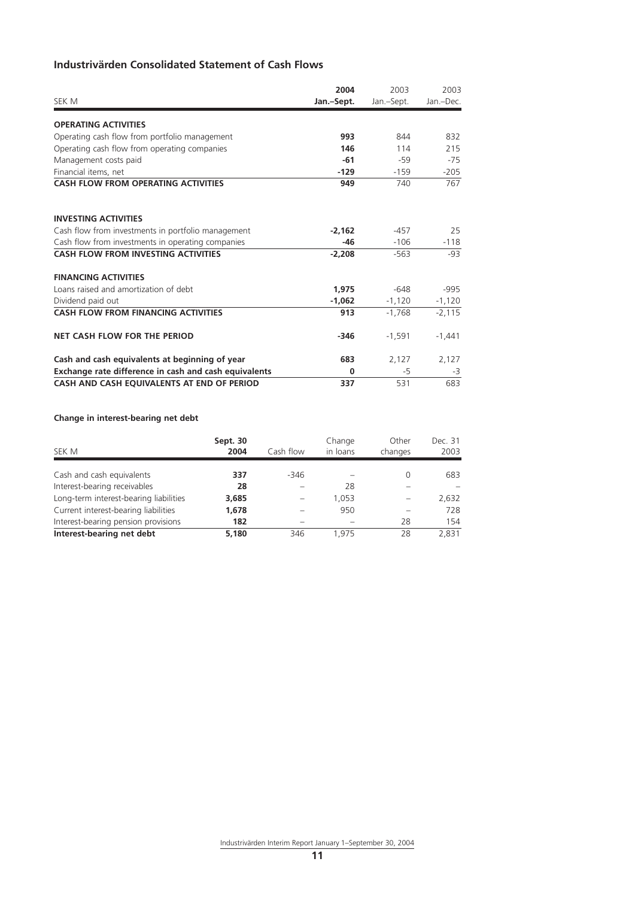# **Industrivärden Consolidated Statement of Cash Flows**

| SEK M                                                 | 2004<br>Jan.-Sept. | 2003<br>Jan.-Sept. | 2003<br>Jan.-Dec. |
|-------------------------------------------------------|--------------------|--------------------|-------------------|
| <b>OPERATING ACTIVITIES</b>                           |                    |                    |                   |
| Operating cash flow from portfolio management         | 993                | 844                | 832               |
| Operating cash flow from operating companies          | 146                | 114                | 215               |
| Management costs paid                                 | $-61$              | $-59$              | $-75$             |
| Financial items, net                                  | $-129$             | $-159$             | $-205$            |
| <b>CASH FLOW FROM OPERATING ACTIVITIES</b>            | 949                | 740                | 767               |
| <b>INVESTING ACTIVITIES</b>                           |                    |                    |                   |
| Cash flow from investments in portfolio management    | $-2.162$           | $-457$             | 25                |
| Cash flow from investments in operating companies     | $-46$              | $-106$             | $-118$            |
| <b>CASH FLOW FROM INVESTING ACTIVITIES</b>            | $-2,208$           | $-563$             | -93               |
| <b>FINANCING ACTIVITIES</b>                           |                    |                    |                   |
| Loans raised and amortization of debt                 | 1.975              | $-648$             | $-995$            |
| Dividend paid out                                     | $-1,062$           | $-1,120$           | $-1,120$          |
| <b>CASH FLOW FROM FINANCING ACTIVITIES</b>            | 913                | $-1.768$           | $-2,115$          |
| <b>NET CASH FLOW FOR THE PERIOD</b>                   | $-346$             | $-1,591$           | $-1,441$          |
| Cash and cash equivalents at beginning of year        | 683                | 2,127              | 2,127             |
| Exchange rate difference in cash and cash equivalents | $\Omega$           | -5                 | -3                |
| CASH AND CASH EQUIVALENTS AT END OF PERIOD            | 337                | 531                | 683               |

# **Change in interest-bearing net debt**

| SEK M                                  | Sept. 30<br>2004 | Cash flow | Change<br>in loans | Other<br>changes | Dec. 31<br>2003 |
|----------------------------------------|------------------|-----------|--------------------|------------------|-----------------|
| Cash and cash equivalents              | 337              | $-346$    |                    | 0                | 683             |
| Interest-bearing receivables           | 28               |           | 28                 |                  |                 |
| Long-term interest-bearing liabilities | 3,685            |           | 1.053              |                  | 2.632           |
| Current interest-bearing liabilities   | 1,678            |           | 950                |                  | 728             |
| Interest-bearing pension provisions    | 182              |           |                    | 28               | 154             |
| Interest-bearing net debt              | 5.180            | 346       | 1.975              | 28               | 2,831           |